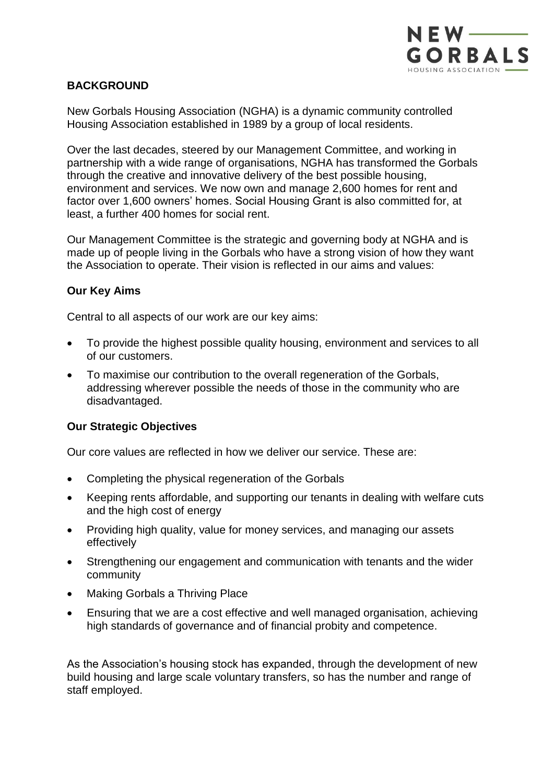

## **BACKGROUND**

New Gorbals Housing Association (NGHA) is a dynamic community controlled Housing Association established in 1989 by a group of local residents.

Over the last decades, steered by our Management Committee, and working in partnership with a wide range of organisations, NGHA has transformed the Gorbals through the creative and innovative delivery of the best possible housing, environment and services. We now own and manage 2,600 homes for rent and factor over 1,600 owners' homes. Social Housing Grant is also committed for, at least, a further 400 homes for social rent.

Our Management Committee is the strategic and governing body at NGHA and is made up of people living in the Gorbals who have a strong vision of how they want the Association to operate. Their vision is reflected in our aims and values:

## **Our Key Aims**

Central to all aspects of our work are our key aims:

- To provide the highest possible quality housing, environment and services to all of our customers.
- To maximise our contribution to the overall regeneration of the Gorbals, addressing wherever possible the needs of those in the community who are disadvantaged.

## **Our Strategic Objectives**

Our core values are reflected in how we deliver our service. These are:

- Completing the physical regeneration of the Gorbals
- Keeping rents affordable, and supporting our tenants in dealing with welfare cuts and the high cost of energy
- Providing high quality, value for money services, and managing our assets effectively
- Strengthening our engagement and communication with tenants and the wider community
- Making Gorbals a Thriving Place
- Ensuring that we are a cost effective and well managed organisation, achieving high standards of governance and of financial probity and competence.

As the Association's housing stock has expanded, through the development of new build housing and large scale voluntary transfers, so has the number and range of staff employed.